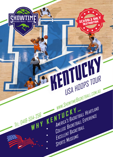